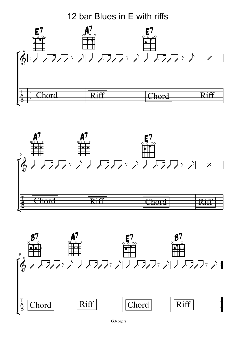